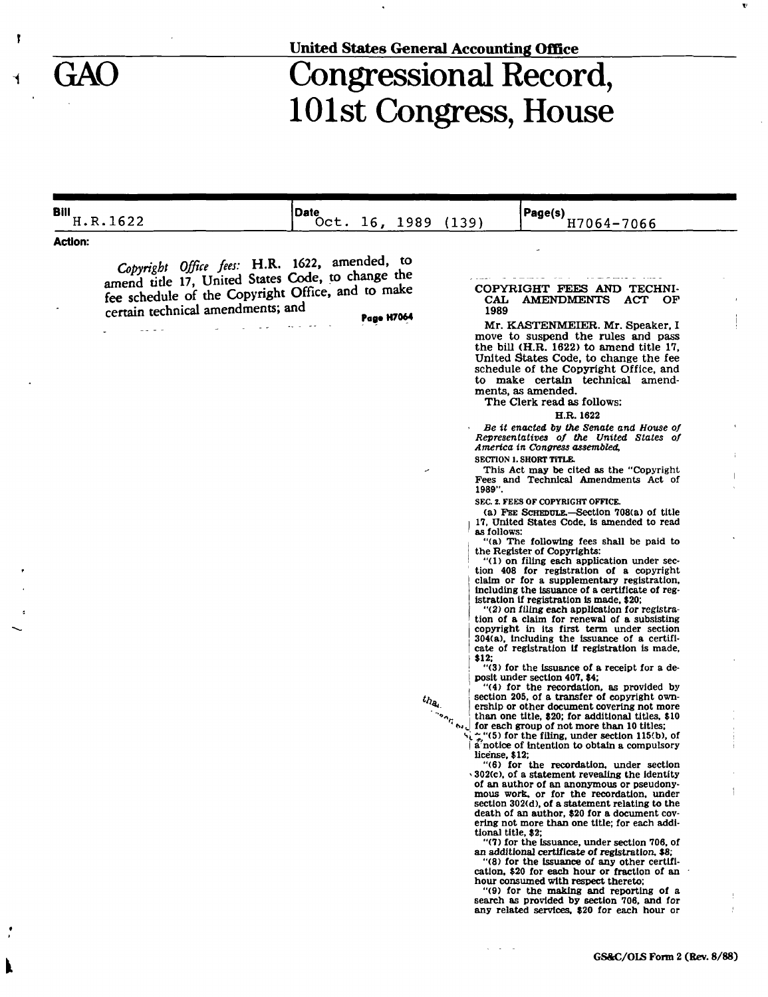$\mathbf{I}$ 

 $\blacktriangleleft$ 

## **United States General Accounting Office**

## GAO Congressional Record, 101st Congress, House

| Bill           | H.R.1622                                                                                                                                                                                     | <b>Date</b> | Oct. 16, 1989     |                         | (139)                                                                                 | Page(s)<br>H7064-7066                                                                                                                                                                                                                                                                                                                                                                                                                                                                                                                                                                                                                                                                                                                                                                                                                                                                                                                                                                                                                                                                                                                                                                                                                                                                                                                                                                                                                                                                                                                                                                                                                                                                                                                                                                                                                                                                                                                                                                                                                                                                                                                                                                                                                                                                                                                                                                                                                                                                |
|----------------|----------------------------------------------------------------------------------------------------------------------------------------------------------------------------------------------|-------------|-------------------|-------------------------|---------------------------------------------------------------------------------------|--------------------------------------------------------------------------------------------------------------------------------------------------------------------------------------------------------------------------------------------------------------------------------------------------------------------------------------------------------------------------------------------------------------------------------------------------------------------------------------------------------------------------------------------------------------------------------------------------------------------------------------------------------------------------------------------------------------------------------------------------------------------------------------------------------------------------------------------------------------------------------------------------------------------------------------------------------------------------------------------------------------------------------------------------------------------------------------------------------------------------------------------------------------------------------------------------------------------------------------------------------------------------------------------------------------------------------------------------------------------------------------------------------------------------------------------------------------------------------------------------------------------------------------------------------------------------------------------------------------------------------------------------------------------------------------------------------------------------------------------------------------------------------------------------------------------------------------------------------------------------------------------------------------------------------------------------------------------------------------------------------------------------------------------------------------------------------------------------------------------------------------------------------------------------------------------------------------------------------------------------------------------------------------------------------------------------------------------------------------------------------------------------------------------------------------------------------------------------------------|
| <b>Action:</b> |                                                                                                                                                                                              |             |                   |                         |                                                                                       |                                                                                                                                                                                                                                                                                                                                                                                                                                                                                                                                                                                                                                                                                                                                                                                                                                                                                                                                                                                                                                                                                                                                                                                                                                                                                                                                                                                                                                                                                                                                                                                                                                                                                                                                                                                                                                                                                                                                                                                                                                                                                                                                                                                                                                                                                                                                                                                                                                                                                      |
|                | Copyright Office fees: H.R. 1622, amended, to<br>amend title 17, United States Code, to change the<br>fee schedule of the Copyright Office, and to make<br>certain technical amendments; and |             | <b>Page H7064</b> | ╭<br>$t h_{\theta_{i}}$ | CAL<br>1989<br>1989".<br>as follows:<br>\$12:<br>license, \$12;<br>tional title, \$2: | COPYRIGHT FEES AND TECHNI-<br><b>AMENDMENTS</b><br>ACT OF<br>Mr. KASTENMEIER. Mr. Speaker, I<br>move to suspend the rules and pass<br>the bill (H.R. 1622) to amend title 17,<br>United States Code, to change the fee<br>schedule of the Copyright Office, and<br>to make certain technical amend-<br>ments, as amended.<br>The Clerk read as follows:<br>H.R. 1622<br>Be it enacted by the Senate and House of<br>Representatives of the United States of<br>America in Congress assembled,<br>SECTION 1. SHORT TITLE.<br>This Act may be cited as the "Copyright"<br>Fees and Technical Amendments Act of<br><b>SEC. 2. FEES OF COPYRIGHT OFFICE.</b><br>(a) FEE SCHEDULE.-Section 708(a) of title<br>17, United States Code, is amended to read<br>"(a) The following fees shall be paid to<br>the Register of Copyrights:<br>"(1) on filing each application under sec-<br>tion 408 for registration of a copyright<br>claim or for a supplementary registration,<br>including the issuance of a certificate of reg-<br>istration if registration is made, \$20;<br>"(2) on filing each application for registra-<br>tion of a claim for renewal of a subsisting<br>copyright in its first term under section<br>304(a), including the issuance of a certifi-<br>cate of registration if registration is made,<br>"(3) for the issuance of a receipt for a de-<br>posit under section 407, \$4;<br>"(4) for the recordation, as provided by<br>section 205, of a transfer of copyright own-<br>ership or other document covering not more<br>than one title, \$20; for additional titles, \$10<br>for each group of not more than 10 titles;<br>"."(5) for the filing, under section 115(b), of<br>a notice of intention to obtain a compulsory<br>"(6) for the recordation, under section<br>$\cdot$ 302(c), of a statement revealing the identity<br>of an author of an anonymous or pseudony-<br>mous work, or for the recordation, under<br>section 302(d), of a statement relating to the<br>death of an author, \$20 for a document cov-<br>ering not more than one title; for each addi-<br>"(7) for the issuance, under section 706, of<br>an additional certificate of registration, \$8;<br>"(8) for the issuance of any other certifi-<br>cation. \$20 for each hour or fraction of an<br>hour consumed with respect thereto;<br>"(9) for the making and reporting of a<br>search as provided by section 706, and for<br>any related services, \$20 for each hour or |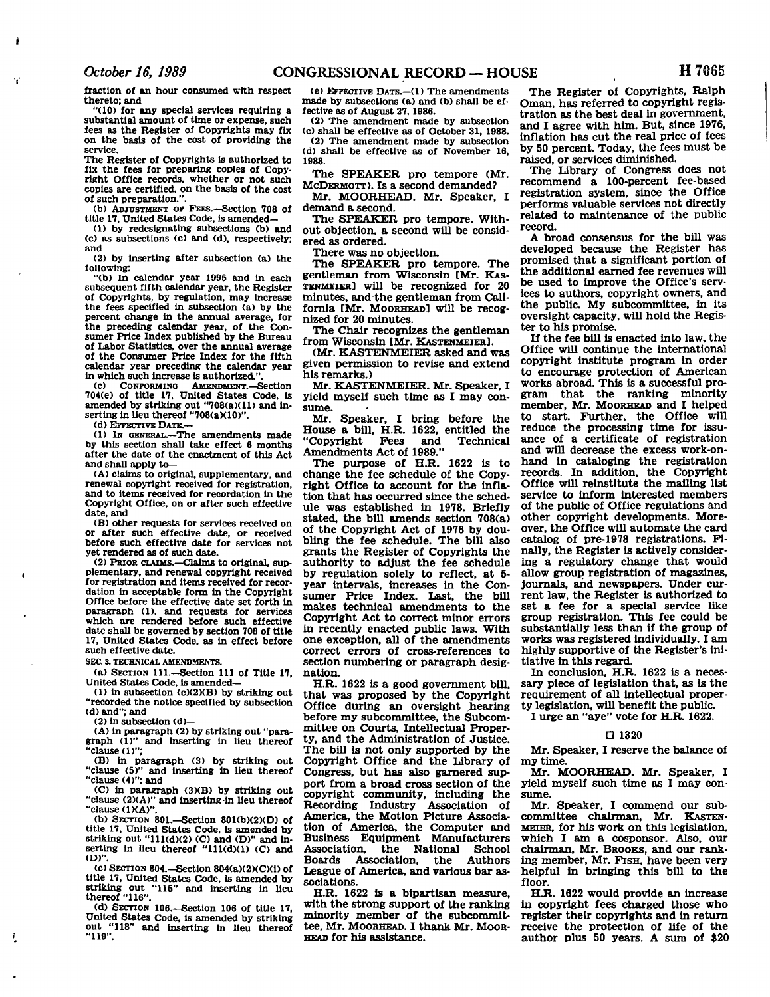**fraction of an hour consumed with respect thereto; and** 

**"(10) for any special services requiring a substantial amount of time or expense, such fees as the Register of Copyrights may fix on the basis of the cost of providing the service.** 

**The Register of Copyrights Is authorized to fix the fees for preparing copies of Copyright Office records, whether or not such copies are certified, on the basis of the cost of such preparation.".** 

**(b) ADJUSTMENT OF PEES.—Section 708 of title 17, United States Code, is amended—** 

**(1) by redesignating subsections (b) and (c) as subsections (c) and (d), respectively; and** 

**(2) by Inserting after subsection (a) the following:** 

**"(b) In calendar year 1995 and In each subsequent fifth calendar year, the Register of Copyrights, by regulation, may increase the fees specified in subsection (a) by the percent change in the annual average, for the preceding calendar year, of the Consumer Price Index published by the Bureau of Labor Statistics, over the annual average of the Consumer Price Index for the fifth calendar year preceding the calendar year**  in which such increase is authorized."

**(c) CONFORMING AMENDMENT.—Section 704(e) of title 17, United States Code, is**  amended by striking out "708(a)(11) and inserting in lieu thereof "708(aX10)".

**(d) EFFECTIVE DATE.—** 

**(1) IN GENERAL.—The amendments made by this section shall take effect 6 months after the date of the enactment of this Act and shall apply to—** 

**(A) claims to original, supplementary, and renewal copyright received for registration, and to items received for recordation in the Copyright Office, on or after such effective date, and** 

**(B) other requests for services received on or after such effective date, or received before such effective date for services not yet rendered as of such date.** 

**(2) PRIOR CLAIMS.—Claims to original, supplementary, and renewal copyright received for registration and items received for recordation in acceptable form in the Copyright Office before the effective date set forth In paragraph (1), and requests for services which are rendered before such effective date shall be governed by section 708 of title 17, United States Code, as in effect before such effective date.** 

**SEC S. TECHNICAL AMENDMENTS.** 

**(a) SECTION 111.—Section 111 of Title 17, United States Code, is amended—** 

**(1) in subsection (c)(2)(B) by striking out "recorded the notice specified by subsection (d) and"; and** 

(2) in subsection (d)—<br>(A) in paragraph (2) by striking out "para-**(A) in paragraph (2) by striking out "para-graph (1)" and inserting in lieu thereof "clause (1)";** 

**(B) in paragraph (3) by striking out "clause (5)" and inserting in lieu thereof "clause (4)"; and** 

**(C) in paragraph (3)(B) by striking out "clause (2MA)" and inserting-in lieu thereof "clause (1XA)".** 

**(b) SECTION 801.-Section 801(b)(2)(D) of title 17, United States Code, is amended by striking out "111(d)(2) (C) and (D)" and in-serting in Ueu thereof "111(d)(1) (C) and (D)".** 

**(c) SECTION 804.—Section 804(a)(2)(C)(i) of title 17, United States Code, is amended by striking out "115" and inserting in lieu thereof "116".** 

**(d) SECTION I06.-Section 106 of title 17, United States Code, Is amended by striking out "118" and inserting in lieu thereof "119".** 

**(e) EFFECTIVE DATE.—(1) The amendments made by subsections (a) and (b) shall be effective as of August 27,1986.** 

**(2) The amendment made by subsection (c) shall be effective as of October 31, 1988. (2) The amendment made by subsection (d) shall be effective as of November 16, 1988.** 

**The SPEAKER pro tempore (Mr. MCDERMOTT). IS a second demanded?** 

**Mr. MOORHEAD. Mr. Speaker, I demand a second.** 

**The SPEAKER pro tempore. Without objection, a second will be considered as ordered.** 

**There was no objection.** 

**The SPEAKER pro tempore. The gentleman from Wisconsin [Mr. KAS-TENMEIER] will be recognized for 20 minutes, and the gentleman from California [Mr. MOORHEAD] will be recognized for 20 minutes.** 

**The Chair recognizes the gentleman from Wisconsin [Mr. KASTENMEIER],** 

**(Mr. KASTENMELER asked and was given permission to revise and extend his remarks.)** 

**Mr. KASTENMEIER. Mr. Speaker, I yield myself such time as I may consume.** 

**Mr. Speaker, I bring before the House a bill, H.R. 1622, entitled the "Copyright Amendments Act of 1989."** 

**The purpose of H.R. 1622 is to change the fee schedule of the Copyright Office to account for the inflation that has occurred since the schedule was established in 1978. Briefly stated, the bill amends section 708(a) of the Copyright Act of 1976 by doubling the fee schedule. The bill also grants the Register of Copyrights the authority to adjust the fee schedule by regulation solely to reflect, at 5 year intervals, increases in the Consumer Price Index. Last, the bill makes technical amendments to the Copyright Act to correct minor errors in recently enacted public laws. With one exception, all of the amendments correct errors of cross-references to section numbering or paragraph designation.** 

**H.R. 1622 is a good government bill, that was proposed by the Copyright Office during an oversight hearing before my subcommittee, the Subcommittee on Courts, Intellectual Property, and the Administration of Justice. The bill is not only supported by the Copyright Office and the Library of Congress, but has also garnered support from a broad cross section of the copyright community, including the Recording Industry Association of America, the Motion Picture Association of America, the Computer and Business Equipment Manufacturers Association, the National School Boards Association, the Authors League of America, and various bar associations.** 

**H.R. 1622 is a bipartisan measure, with the strong support of the ranking minority member of the subcommittee, Mr. MOORHEAD. I thank Mr. MOOR-HEAD for his assistance.** 

**The Register of Copyrights, Ralph Oman, has referred to copyright registration as the best deal in government, and I agree with him. But, since 1976, inflation has cut the real price of fees by 50 percent. Today, the fees must be raised, or services diminished.** 

**The Library of Congress does not recommend a 100-percent fee-based registration system, since the Office performs valuable services not directly related to maintenance of the public record.** 

**A broad consensus for the bill was developed because the Register has promised that a significant portion of the additional earned fee revenues will be used to improve the Office's services to authors, copyright owners, and the public. My subcommittee, in its oversight capacity, will hold the Register to his promise.** 

**If the fee bill is enacted into law, the Office will continue the international copyright institute program in order to encourage protection of American works abroad. This is a successful program that the ranking minority member, Mr. MOORHEAD and I helped to start. Further, the Office will reduce the processing time for issuance of a certificate of registration and will decrease the excess work-onhand in cataloging the registration records. In addition, the Copyright Office will reinstitute the mailing list service to inform interested members of the public of Office regulations and other copyright developments. Moreover, the Office will automate the card catalog of pre-1978 registrations. Finally, the Register is actively considering a regulatory change that would allow group registration of magazines, journals, and newspapers. Under current law, the Register is authorized to set a fee for a special service like group registration. This fee could be substantially less than if the group of works was registered individually. I am highly supportive of the Register's initiative in this regard.** 

**In conclusion, H.R. 1622 is a necessary piece of legislation that, as is the requirement of all intellectual property legislation, will benefit the public.** 

**I urge an "aye" vote for H.R. 1622.** 

## **• 1320**

**Mr. Speaker, I reserve the balance of my time.** 

**Mr. MOORHEAD. Mr. Speaker, I yield myself such time as I may consume.** 

**Mr. Speaker, I commend our subcommittee chairman, Mr. KASTEN-MEIER, for his work on this legislation, which I am a cosponsor. Also, our chairman, Mr. BROOKS, and our ranking member, Mr. FISH, have been very helpful in bringing this bill to the floor.** 

**HH. 1622 would provide an increase in copyright fees charged those who register their copyrights and in return receive the protection of life of the author plus 50 years. A sum of \$20**